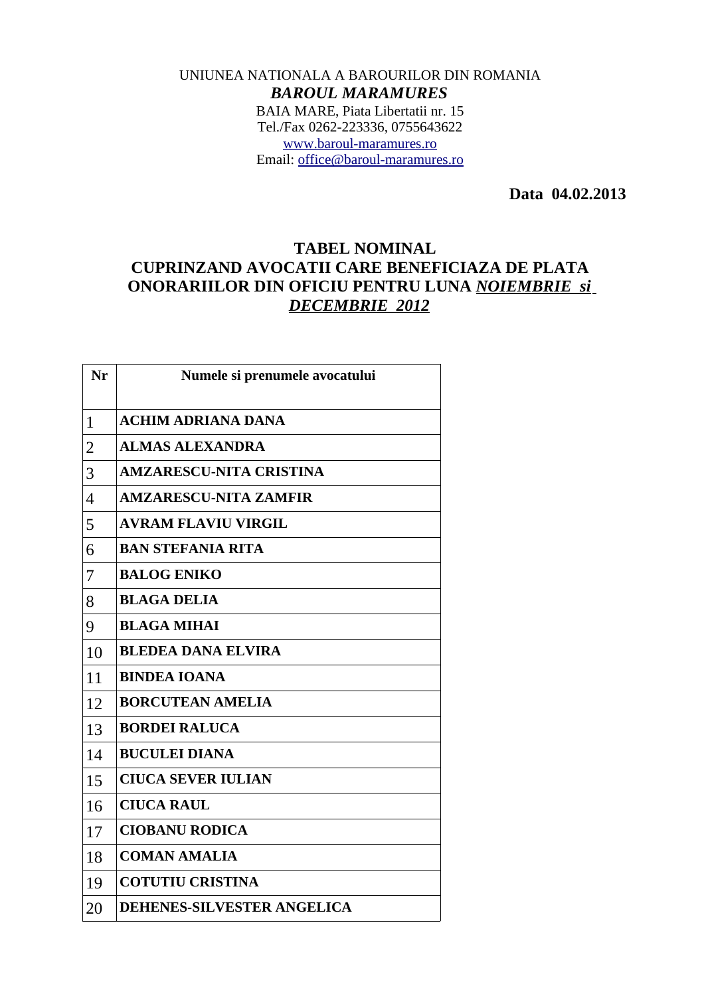## UNIUNEA NATIONALA A BAROURILOR DIN ROMANIA *BAROUL MARAMURES* BAIA MARE, Piata Libertatii nr. 15 Tel./Fax 0262-223336, 0755643622 [www.baroul-maramures.ro](http://www.baroul-maramures.ro/) Email: [office@baroul-maramures.ro](mailto:office@baroul-maramures.ro)

 **Data 04.02.2013**

## **TABEL NOMINAL CUPRINZAND AVOCATII CARE BENEFICIAZA DE PLATA ONORARIILOR DIN OFICIU PENTRU LUNA** *NOIEMBRIE si DECEMBRIE 2012*

| Nr                       | Numele si prenumele avocatului    |
|--------------------------|-----------------------------------|
| 1                        | <b>ACHIM ADRIANA DANA</b>         |
| $\overline{2}$           | <b>ALMAS ALEXANDRA</b>            |
| 3                        | <b>AMZARESCU-NITA CRISTINA</b>    |
| $\overline{\mathcal{A}}$ | <b>AMZARESCU-NITA ZAMFIR</b>      |
| 5                        | <b>AVRAM FLAVIU VIRGIL</b>        |
| 6                        | <b>BAN STEFANIA RITA</b>          |
| 7                        | <b>BALOG ENIKO</b>                |
| 8                        | <b>BLAGA DELIA</b>                |
| 9                        | <b>BLAGA MIHAI</b>                |
| 10                       | <b>BLEDEA DANA ELVIRA</b>         |
| 11                       | <b>BINDEA IOANA</b>               |
| 12                       | <b>BORCUTEAN AMELIA</b>           |
| 13                       | <b>BORDEI RALUCA</b>              |
| 14                       | <b>BUCULEI DIANA</b>              |
| 15                       | <b>CIUCA SEVER IULIAN</b>         |
| 16                       | <b>CIUCA RAUL</b>                 |
| 17                       | <b>CIOBANU RODICA</b>             |
| 18                       | <b>COMAN AMALIA</b>               |
| 19                       | <b>COTUTIU CRISTINA</b>           |
| 20                       | <b>DEHENES-SILVESTER ANGELICA</b> |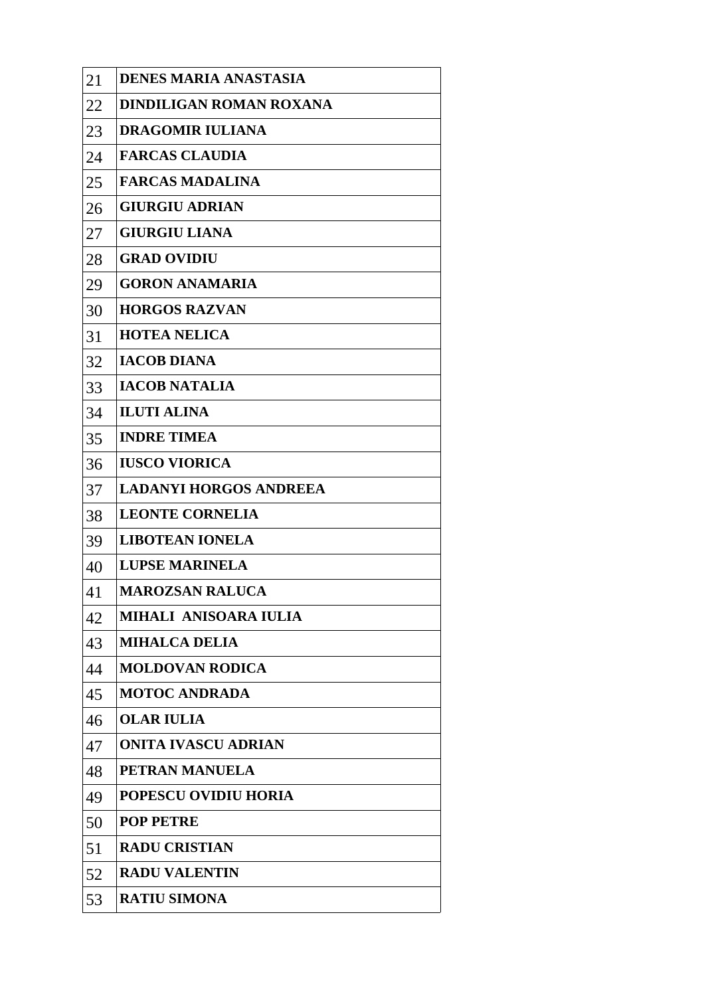| 21 | <b>DENES MARIA ANASTASIA</b>   |
|----|--------------------------------|
| 22 | <b>DINDILIGAN ROMAN ROXANA</b> |
| 23 | <b>DRAGOMIR IULIANA</b>        |
| 24 | <b>FARCAS CLAUDIA</b>          |
| 25 | <b>FARCAS MADALINA</b>         |
| 26 | <b>GIURGIU ADRIAN</b>          |
| 27 | <b>GIURGIU LIANA</b>           |
| 28 | <b>GRAD OVIDIU</b>             |
| 29 | <b>GORON ANAMARIA</b>          |
| 30 | <b>HORGOS RAZVAN</b>           |
| 31 | <b>HOTEA NELICA</b>            |
| 32 | <b>IACOB DIANA</b>             |
| 33 | <b>IACOB NATALIA</b>           |
| 34 | <b>ILUTI ALINA</b>             |
| 35 | <b>INDRE TIMEA</b>             |
| 36 | <b>IUSCO VIORICA</b>           |
| 37 | <b>LADANYI HORGOS ANDREEA</b>  |
| 38 | <b>LEONTE CORNELIA</b>         |
| 39 | <b>LIBOTEAN IONELA</b>         |
| 40 | <b>LUPSE MARINELA</b>          |
| 41 | <b>MAROZSAN RALUCA</b>         |
| 42 | MIHALI ANISOARA IULIA          |
| 43 | <b>MIHALCA DELIA</b>           |
| 44 | <b>MOLDOVAN RODICA</b>         |
| 45 | <b>MOTOC ANDRADA</b>           |
| 46 | <b>OLAR IULIA</b>              |
| 47 | <b>ONITA IVASCU ADRIAN</b>     |
| 48 | PETRAN MANUELA                 |
| 49 | <b>POPESCU OVIDIU HORIA</b>    |
| 50 | <b>POP PETRE</b>               |
| 51 | <b>RADU CRISTIAN</b>           |
| 52 | <b>RADU VALENTIN</b>           |
| 53 | <b>RATIU SIMONA</b>            |